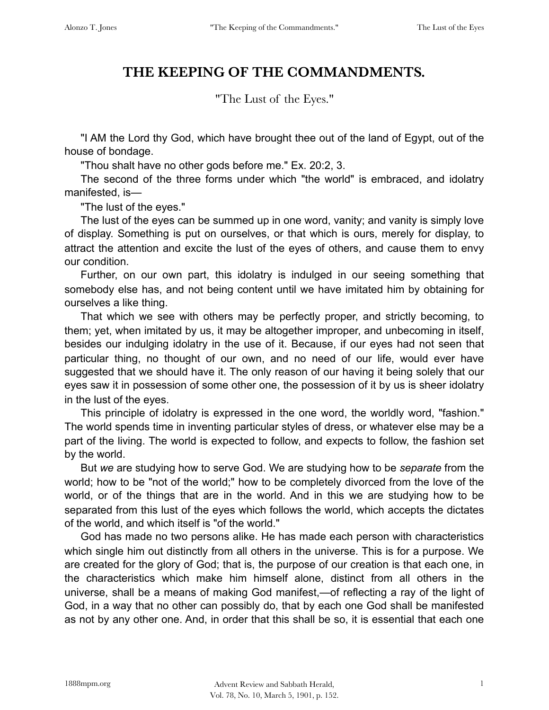## **THE KEEPING OF THE COMMANDMENTS.**

"The Lust of the Eyes."

"I AM the Lord thy God, which have brought thee out of the land of Egypt, out of the house of bondage.

"Thou shalt have no other gods before me." Ex. 20:2, 3.

The second of the three forms under which "the world" is embraced, and idolatry manifested, is—

"The lust of the eyes."

The lust of the eyes can be summed up in one word, vanity; and vanity is simply love of display. Something is put on ourselves, or that which is ours, merely for display, to attract the attention and excite the lust of the eyes of others, and cause them to envy our condition.

Further, on our own part, this idolatry is indulged in our seeing something that somebody else has, and not being content until we have imitated him by obtaining for ourselves a like thing.

That which we see with others may be perfectly proper, and strictly becoming, to them; yet, when imitated by us, it may be altogether improper, and unbecoming in itself, besides our indulging idolatry in the use of it. Because, if our eyes had not seen that particular thing, no thought of our own, and no need of our life, would ever have suggested that we should have it. The only reason of our having it being solely that our eyes saw it in possession of some other one, the possession of it by us is sheer idolatry in the lust of the eyes.

This principle of idolatry is expressed in the one word, the worldly word, "fashion." The world spends time in inventing particular styles of dress, or whatever else may be a part of the living. The world is expected to follow, and expects to follow, the fashion set by the world.

But *we* are studying how to serve God. We are studying how to be *separate* from the world; how to be "not of the world;" how to be completely divorced from the love of the world, or of the things that are in the world. And in this we are studying how to be separated from this lust of the eyes which follows the world, which accepts the dictates of the world, and which itself is "of the world."

God has made no two persons alike. He has made each person with characteristics which single him out distinctly from all others in the universe. This is for a purpose. We are created for the glory of God; that is, the purpose of our creation is that each one, in the characteristics which make him himself alone, distinct from all others in the universe, shall be a means of making God manifest,—of reflecting a ray of the light of God, in a way that no other can possibly do, that by each one God shall be manifested as not by any other one. And, in order that this shall be so, it is essential that each one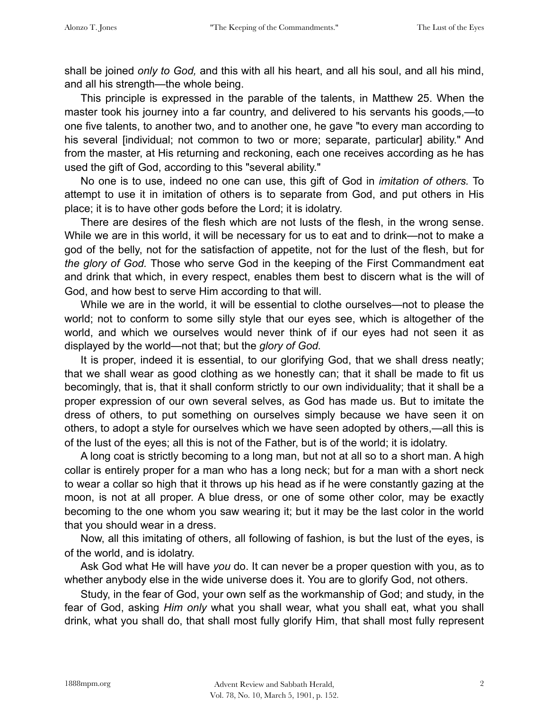shall be joined *only to God,* and this with all his heart, and all his soul, and all his mind, and all his strength—the whole being.

This principle is expressed in the parable of the talents, in Matthew 25. When the master took his journey into a far country, and delivered to his servants his goods,—to one five talents, to another two, and to another one, he gave "to every man according to his several *[individual; not common to two or more; separate, particular] ability.*" And from the master, at His returning and reckoning, each one receives according as he has used the gift of God, according to this "several ability."

No one is to use, indeed no one can use, this gift of God in *imitation of others.* To attempt to use it in imitation of others is to separate from God, and put others in His place; it is to have other gods before the Lord; it is idolatry.

There are desires of the flesh which are not lusts of the flesh, in the wrong sense. While we are in this world, it will be necessary for us to eat and to drink—not to make a god of the belly, not for the satisfaction of appetite, not for the lust of the flesh, but for *the glory of God.* Those who serve God in the keeping of the First Commandment eat and drink that which, in every respect, enables them best to discern what is the will of God, and how best to serve Him according to that will.

While we are in the world, it will be essential to clothe ourselves—not to please the world; not to conform to some silly style that our eyes see, which is altogether of the world, and which we ourselves would never think of if our eyes had not seen it as displayed by the world—not that; but the *glory of God.*

It is proper, indeed it is essential, to our glorifying God, that we shall dress neatly; that we shall wear as good clothing as we honestly can; that it shall be made to fit us becomingly, that is, that it shall conform strictly to our own individuality; that it shall be a proper expression of our own several selves, as God has made us. But to imitate the dress of others, to put something on ourselves simply because we have seen it on others, to adopt a style for ourselves which we have seen adopted by others,—all this is of the lust of the eyes; all this is not of the Father, but is of the world; it is idolatry.

A long coat is strictly becoming to a long man, but not at all so to a short man. A high collar is entirely proper for a man who has a long neck; but for a man with a short neck to wear a collar so high that it throws up his head as if he were constantly gazing at the moon, is not at all proper. A blue dress, or one of some other color, may be exactly becoming to the one whom you saw wearing it; but it may be the last color in the world that you should wear in a dress.

Now, all this imitating of others, all following of fashion, is but the lust of the eyes, is of the world, and is idolatry.

Ask God what He will have *you* do. It can never be a proper question with you, as to whether anybody else in the wide universe does it. You are to glorify God, not others.

Study, in the fear of God, your own self as the workmanship of God; and study, in the fear of God, asking *Him only* what you shall wear, what you shall eat, what you shall drink, what you shall do, that shall most fully glorify Him, that shall most fully represent